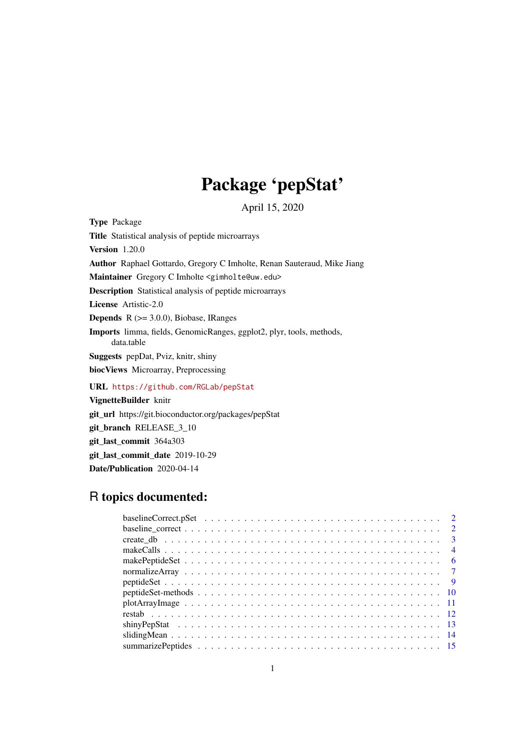# Package 'pepStat'

April 15, 2020

<span id="page-0-0"></span>Type Package Title Statistical analysis of peptide microarrays Version 1.20.0 Author Raphael Gottardo, Gregory C Imholte, Renan Sauteraud, Mike Jiang Maintainer Gregory C Imholte <gimholte@uw.edu> Description Statistical analysis of peptide microarrays License Artistic-2.0 **Depends**  $R$  ( $>= 3.0.0$ ), Biobase, IRanges Imports limma, fields, GenomicRanges, ggplot2, plyr, tools, methods, data.table Suggests pepDat, Pviz, knitr, shiny biocViews Microarray, Preprocessing URL <https://github.com/RGLab/pepStat> VignetteBuilder knitr git\_url https://git.bioconductor.org/packages/pepStat git\_branch RELEASE\_3\_10 git\_last\_commit 364a303

### git\_last\_commit\_date 2019-10-29 Date/Publication 2020-04-14

## R topics documented:

| baselineCorrect.pSet $\ldots \ldots \ldots \ldots \ldots \ldots \ldots \ldots \ldots \ldots \ldots \ldots \ldots 2$ |  |  |  |  |  |  |  |  |  |  |  |  |  |  |  |  |  |  |  |
|---------------------------------------------------------------------------------------------------------------------|--|--|--|--|--|--|--|--|--|--|--|--|--|--|--|--|--|--|--|
|                                                                                                                     |  |  |  |  |  |  |  |  |  |  |  |  |  |  |  |  |  |  |  |
|                                                                                                                     |  |  |  |  |  |  |  |  |  |  |  |  |  |  |  |  |  |  |  |
|                                                                                                                     |  |  |  |  |  |  |  |  |  |  |  |  |  |  |  |  |  |  |  |
|                                                                                                                     |  |  |  |  |  |  |  |  |  |  |  |  |  |  |  |  |  |  |  |
|                                                                                                                     |  |  |  |  |  |  |  |  |  |  |  |  |  |  |  |  |  |  |  |
|                                                                                                                     |  |  |  |  |  |  |  |  |  |  |  |  |  |  |  |  |  |  |  |
|                                                                                                                     |  |  |  |  |  |  |  |  |  |  |  |  |  |  |  |  |  |  |  |
|                                                                                                                     |  |  |  |  |  |  |  |  |  |  |  |  |  |  |  |  |  |  |  |
|                                                                                                                     |  |  |  |  |  |  |  |  |  |  |  |  |  |  |  |  |  |  |  |
|                                                                                                                     |  |  |  |  |  |  |  |  |  |  |  |  |  |  |  |  |  |  |  |
|                                                                                                                     |  |  |  |  |  |  |  |  |  |  |  |  |  |  |  |  |  |  |  |
|                                                                                                                     |  |  |  |  |  |  |  |  |  |  |  |  |  |  |  |  |  |  |  |
|                                                                                                                     |  |  |  |  |  |  |  |  |  |  |  |  |  |  |  |  |  |  |  |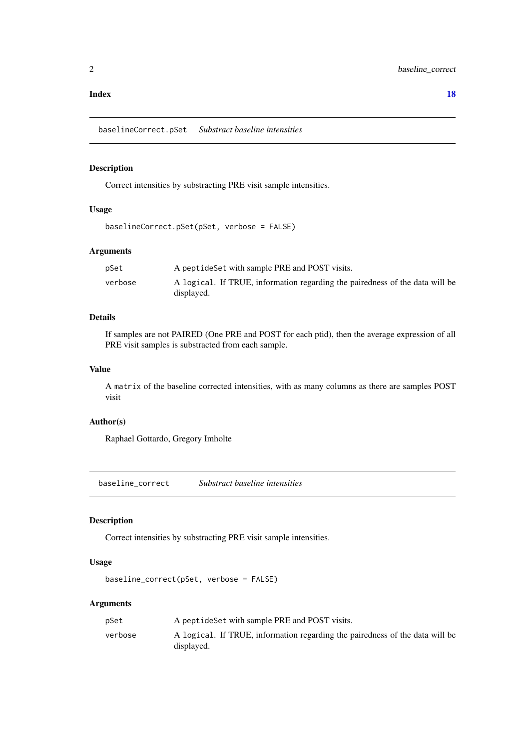#### <span id="page-1-0"></span>**Index** 2008 **[18](#page-17-0)**

baselineCorrect.pSet *Substract baseline intensities*

#### Description

Correct intensities by substracting PRE visit sample intensities.

#### Usage

```
baselineCorrect.pSet(pSet, verbose = FALSE)
```
#### Arguments

| pSet    | A peptide Set with sample PRE and POST visits.                                             |
|---------|--------------------------------------------------------------------------------------------|
| verbose | A logical. If TRUE, information regarding the pairedness of the data will be<br>displayed. |

#### Details

If samples are not PAIRED (One PRE and POST for each ptid), then the average expression of all PRE visit samples is substracted from each sample.

#### Value

A matrix of the baseline corrected intensities, with as many columns as there are samples POST visit

#### Author(s)

Raphael Gottardo, Gregory Imholte

baseline\_correct *Substract baseline intensities*

#### Description

Correct intensities by substracting PRE visit sample intensities.

#### Usage

baseline\_correct(pSet, verbose = FALSE)

#### Arguments

| pSet    | A peptide Set with sample PRE and POST visits.                                             |
|---------|--------------------------------------------------------------------------------------------|
| verbose | A logical. If TRUE, information regarding the pairedness of the data will be<br>displayed. |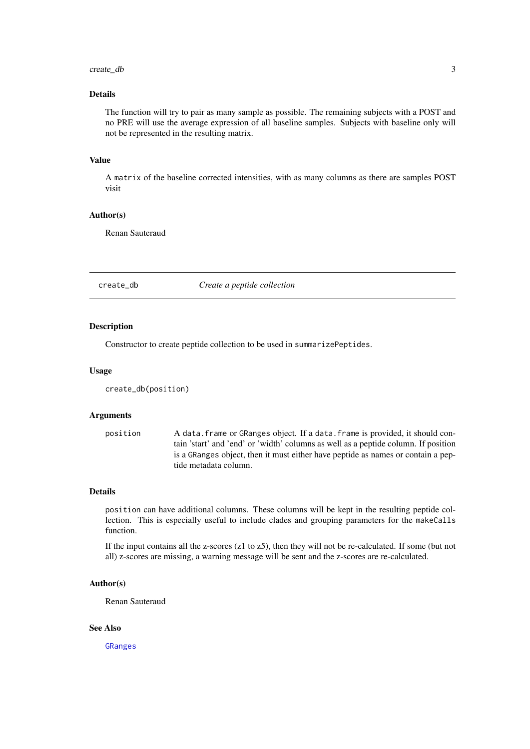#### <span id="page-2-0"></span>create\_db 3

#### Details

The function will try to pair as many sample as possible. The remaining subjects with a POST and no PRE will use the average expression of all baseline samples. Subjects with baseline only will not be represented in the resulting matrix.

#### Value

A matrix of the baseline corrected intensities, with as many columns as there are samples POST visit

#### Author(s)

Renan Sauteraud

<span id="page-2-1"></span>create\_db *Create a peptide collection*

#### Description

Constructor to create peptide collection to be used in summarizePeptides.

#### Usage

```
create_db(position)
```
#### Arguments

position A data.frame or GRanges object. If a data.frame is provided, it should contain 'start' and 'end' or 'width' columns as well as a peptide column. If position is a GRanges object, then it must either have peptide as names or contain a peptide metadata column.

#### Details

position can have additional columns. These columns will be kept in the resulting peptide collection. This is especially useful to include clades and grouping parameters for the makeCalls function.

If the input contains all the z-scores (z1 to z5), then they will not be re-calculated. If some (but not all) z-scores are missing, a warning message will be sent and the z-scores are re-calculated.

#### Author(s)

Renan Sauteraud

#### See Also

[GRanges](#page-0-0)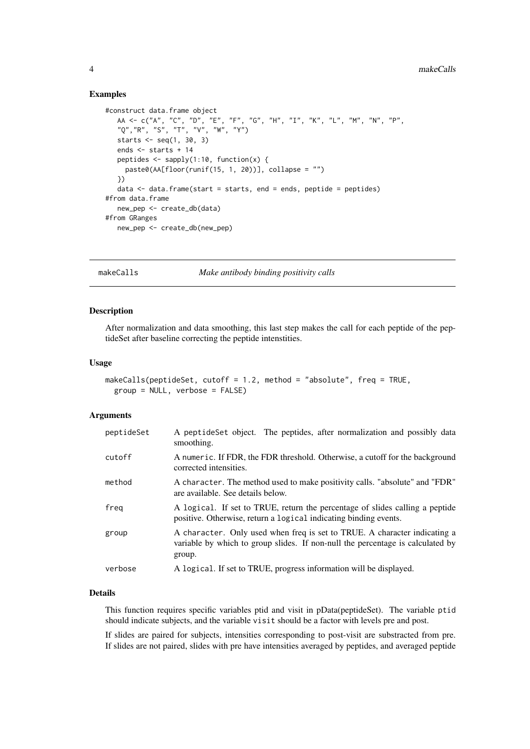#### <span id="page-3-0"></span>Examples

```
#construct data.frame object
   AA <- c("A", "C", "D", "E", "F", "G", "H", "I", "K", "L", "M", "N", "P",
   "Q","R", "S", "T", "V", "W", "Y")
   starts <- seq(1, 30, 3)
   ends <- starts + 14
   peptides \leq sapply(1:10, function(x) {
    paste0(AA[floor(runif(15, 1, 20))], collapse = "")
   })
   data <- data.frame(start = starts, end = ends, peptide = peptides)
#from data.frame
  new_pep <- create_db(data)
#from GRanges
  new_pep <- create_db(new_pep)
```
<span id="page-3-1"></span>makeCalls *Make antibody binding positivity calls*

#### Description

After normalization and data smoothing, this last step makes the call for each peptide of the peptideSet after baseline correcting the peptide intenstities.

#### Usage

```
makeCalls(peptideSet, cutoff = 1.2, method = "absolute", freq = TRUE,
 group = NULL, verbose = FALSE)
```
#### Arguments

| peptideSet | A peptide Set object. The peptides, after normalization and possibly data<br>smoothing.                                                                               |
|------------|-----------------------------------------------------------------------------------------------------------------------------------------------------------------------|
| cutoff     | A numeric. If FDR, the FDR threshold. Otherwise, a cutoff for the background<br>corrected intensities.                                                                |
| method     | A character. The method used to make positivity calls. "absolute" and "FDR"<br>are available. See details below.                                                      |
| freg       | A logical. If set to TRUE, return the percentage of slides calling a peptide<br>positive. Otherwise, return a logical indicating binding events.                      |
| group      | A character. Only used when freq is set to TRUE. A character indicating a<br>variable by which to group slides. If non-null the percentage is calculated by<br>group. |
| verbose    | A logical. If set to TRUE, progress information will be displayed.                                                                                                    |

#### Details

This function requires specific variables ptid and visit in pData(peptideSet). The variable ptid should indicate subjects, and the variable visit should be a factor with levels pre and post.

If slides are paired for subjects, intensities corresponding to post-visit are substracted from pre. If slides are not paired, slides with pre have intensities averaged by peptides, and averaged peptide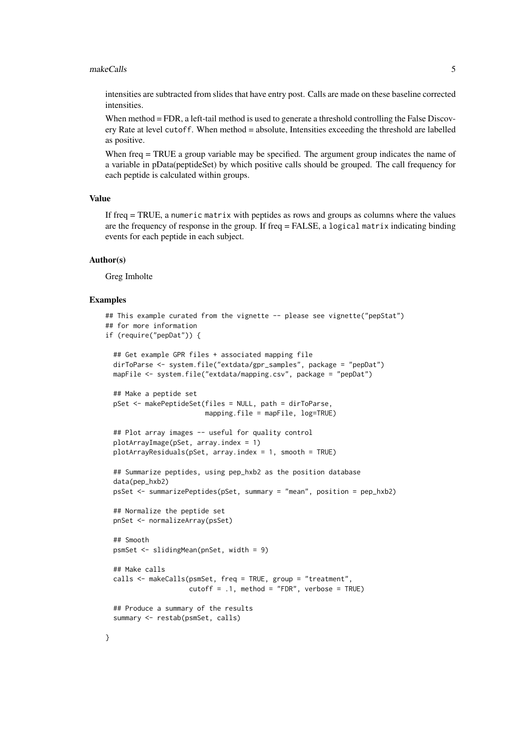#### makeCalls 5

intensities are subtracted from slides that have entry post. Calls are made on these baseline corrected intensities.

When method = FDR, a left-tail method is used to generate a threshold controlling the False Discovery Rate at level cutoff. When method = absolute, Intensities exceeding the threshold are labelled as positive.

When freq = TRUE a group variable may be specified. The argument group indicates the name of a variable in pData(peptideSet) by which positive calls should be grouped. The call frequency for each peptide is calculated within groups.

#### Value

If freq = TRUE, a numeric matrix with peptides as rows and groups as columns where the values are the frequency of response in the group. If freq = FALSE, a logical matrix indicating binding events for each peptide in each subject.

#### Author(s)

Greg Imholte

```
## This example curated from the vignette -- please see vignette("pepStat")
## for more information
if (require("pepDat")) {
  ## Get example GPR files + associated mapping file
  dirToParse <- system.file("extdata/gpr_samples", package = "pepDat")
  mapFile <- system.file("extdata/mapping.csv", package = "pepDat")
  ## Make a peptide set
  pSet <- makePeptideSet(files = NULL, path = dirToParse,
                         mapping.file = mapFile, log=TRUE)
  ## Plot array images -- useful for quality control
  plotArrayImage(pSet, array.index = 1)
  plotArrayResiduals(pSet, array.index = 1, smooth = TRUE)
  ## Summarize peptides, using pep_hxb2 as the position database
  data(pep_hxb2)
  psSet <- summarizePeptides(pSet, summary = "mean", position = pep_hxb2)
  ## Normalize the peptide set
  pnSet <- normalizeArray(psSet)
  ## Smooth
  psmSet <- slidingMean(pnSet, width = 9)
  ## Make calls
  calls <- makeCalls(psmSet, freq = TRUE, group = "treatment",
                     cutoff = .1, method = "FDR", verbose = TRUE)
  ## Produce a summary of the results
  summary <- restab(psmSet, calls)
```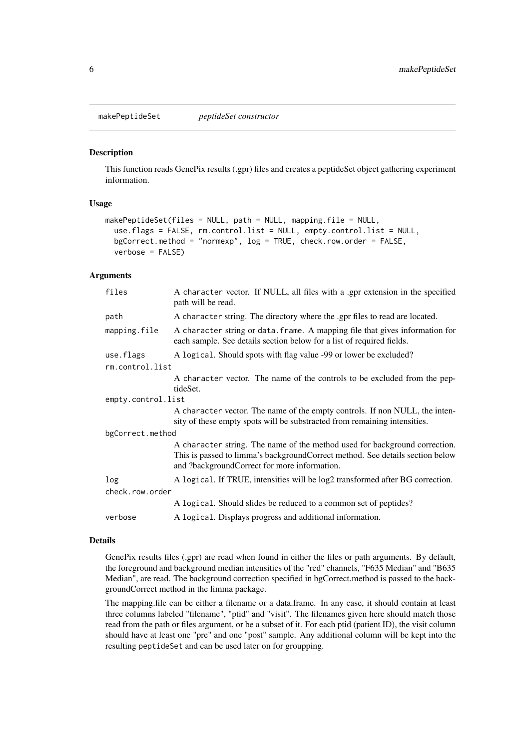<span id="page-5-1"></span><span id="page-5-0"></span>

#### Description

This function reads GenePix results (.gpr) files and creates a peptideSet object gathering experiment information.

#### Usage

```
makePeptideSet(files = NULL, path = NULL, mapping.file = NULL,
 use.flags = FALSE, rm.control.list = NULL, empty.control.list = NULL,
 bgCorrect.method = "normexp", log = TRUE, check.row.order = FALSE,
 verbose = FALSE)
```
#### Arguments

| files              | A character vector. If NULL, all files with a .gpr extension in the specified<br>path will be read.                                                                                                         |
|--------------------|-------------------------------------------------------------------------------------------------------------------------------------------------------------------------------------------------------------|
| path               | A character string. The directory where the .gpr files to read are located.                                                                                                                                 |
| mapping.file       | A character string or data. frame. A mapping file that gives information for<br>each sample. See details section below for a list of required fields.                                                       |
| use.flags          | A logical. Should spots with flag value -99 or lower be excluded?                                                                                                                                           |
| rm.control.list    |                                                                                                                                                                                                             |
|                    | A character vector. The name of the controls to be excluded from the pep-<br>tideSet.                                                                                                                       |
| empty.control.list |                                                                                                                                                                                                             |
|                    | A character vector. The name of the empty controls. If non NULL, the inten-<br>sity of these empty spots will be substracted from remaining intensities.                                                    |
| bgCorrect.method   |                                                                                                                                                                                                             |
|                    | A character string. The name of the method used for background correction.<br>This is passed to limma's backgroundCorrect method. See details section below<br>and ?backgroundCorrect for more information. |
| log                | A logical. If TRUE, intensities will be log2 transformed after BG correction.                                                                                                                               |
| check.row.order    |                                                                                                                                                                                                             |
|                    | A logical. Should slides be reduced to a common set of peptides?                                                                                                                                            |
| verbose            | A logical. Displays progress and additional information.                                                                                                                                                    |

#### Details

GenePix results files (.gpr) are read when found in either the files or path arguments. By default, the foreground and background median intensities of the "red" channels, "F635 Median" and "B635 Median", are read. The background correction specified in bgCorrect.method is passed to the backgroundCorrect method in the limma package.

The mapping.file can be either a filename or a data.frame. In any case, it should contain at least three columns labeled "filename", "ptid" and "visit". The filenames given here should match those read from the path or files argument, or be a subset of it. For each ptid (patient ID), the visit column should have at least one "pre" and one "post" sample. Any additional column will be kept into the resulting peptideSet and can be used later on for groupping.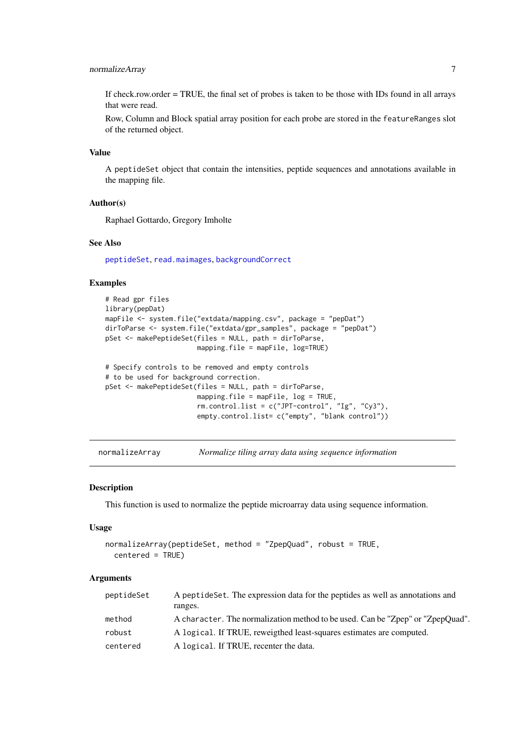#### <span id="page-6-0"></span>normalizeArray 7

If check.row.order = TRUE, the final set of probes is taken to be those with IDs found in all arrays that were read.

Row, Column and Block spatial array position for each probe are stored in the featureRanges slot of the returned object.

#### Value

A peptideSet object that contain the intensities, peptide sequences and annotations available in the mapping file.

#### Author(s)

Raphael Gottardo, Gregory Imholte

#### See Also

[peptideSet](#page-8-1), [read.maimages](#page-0-0), [backgroundCorrect](#page-0-0)

#### Examples

```
# Read gpr files
library(pepDat)
mapFile <- system.file("extdata/mapping.csv", package = "pepDat")
dirToParse <- system.file("extdata/gpr_samples", package = "pepDat")
pSet <- makePeptideSet(files = NULL, path = dirToParse,
                       mapping.file = mapFile, log=TRUE)
# Specify controls to be removed and empty controls
# to be used for background correction.
pSet <- makePeptideSet(files = NULL, path = dirToParse,
```

```
mapping.file = mapFile, log = TRUE,
rm.control.list = c("JPT-control", "Ig", "Cy3"),
empty.control.list= c("empty", "blank control"))
```
<span id="page-6-1"></span>

| normalizeArray |  |  | Normalize tiling array data using sequence information |  |
|----------------|--|--|--------------------------------------------------------|--|
|                |  |  |                                                        |  |

#### Description

This function is used to normalize the peptide microarray data using sequence information.

#### Usage

```
normalizeArray(peptideSet, method = "ZpepQuad", robust = TRUE,
 centered = TRUE)
```
#### Arguments

| peptideSet | A peptideSet. The expression data for the peptides as well as annotations and<br>ranges. |
|------------|------------------------------------------------------------------------------------------|
| method     | A character. The normalization method to be used. Can be "Zpep" or "ZpepQuad".           |
| robust     | A logical. If TRUE, reweigthed least-squares estimates are computed.                     |
| centered   | A logical. If TRUE, recenter the data.                                                   |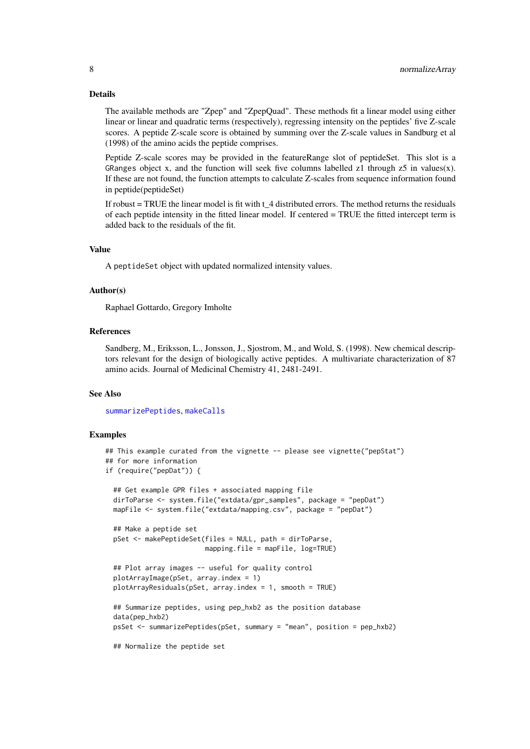#### <span id="page-7-0"></span>Details

The available methods are "Zpep" and "ZpepQuad". These methods fit a linear model using either linear or linear and quadratic terms (respectively), regressing intensity on the peptides' five Z-scale scores. A peptide Z-scale score is obtained by summing over the Z-scale values in Sandburg et al (1998) of the amino acids the peptide comprises.

Peptide Z-scale scores may be provided in the featureRange slot of peptideSet. This slot is a GRanges object x, and the function will seek five columns labelled  $z1$  through  $z5$  in values(x). If these are not found, the function attempts to calculate Z-scales from sequence information found in peptide(peptideSet)

If robust = TRUE the linear model is fit with t\_4 distributed errors. The method returns the residuals of each peptide intensity in the fitted linear model. If centered = TRUE the fitted intercept term is added back to the residuals of the fit.

#### Value

A peptideSet object with updated normalized intensity values.

#### Author(s)

Raphael Gottardo, Gregory Imholte

#### References

Sandberg, M., Eriksson, L., Jonsson, J., Sjostrom, M., and Wold, S. (1998). New chemical descriptors relevant for the design of biologically active peptides. A multivariate characterization of 87 amino acids. Journal of Medicinal Chemistry 41, 2481-2491.

#### See Also

[summarizePeptides](#page-14-1), [makeCalls](#page-3-1)

```
## This example curated from the vignette -- please see vignette("pepStat")
## for more information
if (require("pepDat")) {
  ## Get example GPR files + associated mapping file
  dirToParse <- system.file("extdata/gpr_samples", package = "pepDat")
  mapFile <- system.file("extdata/mapping.csv", package = "pepDat")
  ## Make a peptide set
  pSet <- makePeptideSet(files = NULL, path = dirToParse,
                         mapping.file = mapFile, log=TRUE)
  ## Plot array images -- useful for quality control
  plotArrayImage(pSet, array.index = 1)
  plotArrayResiduals(pSet, array.index = 1, smooth = TRUE)
  ## Summarize peptides, using pep_hxb2 as the position database
  data(pep_hxb2)
  psSet <- summarizePeptides(pSet, summary = "mean", position = pep_hxb2)
  ## Normalize the peptide set
```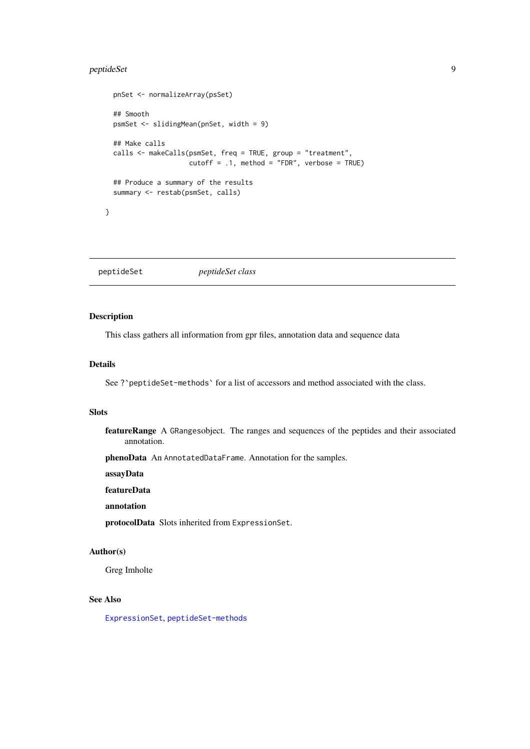#### <span id="page-8-0"></span>peptideSet 9

```
pnSet <- normalizeArray(psSet)
  ## Smooth
  psmSet <- slidingMean(pnSet, width = 9)
  ## Make calls
  calls <- makeCalls(psmSet, freq = TRUE, group = "treatment",
                     cutoff = .1, method = "FDR", verbose = TRUE)## Produce a summary of the results
  summary <- restab(psmSet, calls)
}
```
<span id="page-8-1"></span>peptideSet *peptideSet class*

#### Description

This class gathers all information from gpr files, annotation data and sequence data

#### Details

See ?`peptideSet-methods` for a list of accessors and method associated with the class.

#### Slots

featureRange A GRangesobject. The ranges and sequences of the peptides and their associated annotation.

phenoData An AnnotatedDataFrame. Annotation for the samples.

assayData

featureData

#### annotation

protocolData Slots inherited from ExpressionSet.

#### Author(s)

Greg Imholte

#### See Also

[ExpressionSet](#page-0-0), [peptideSet-methods](#page-9-1)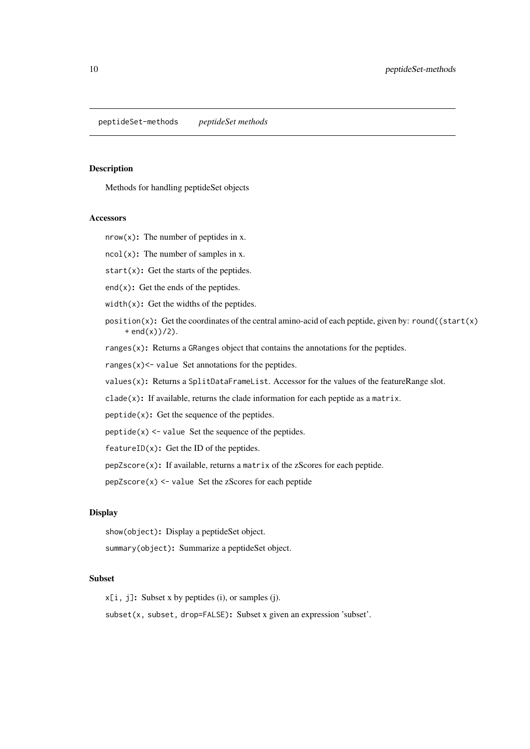<span id="page-9-1"></span><span id="page-9-0"></span>peptideSet-methods *peptideSet methods*

#### Description

Methods for handling peptideSet objects

#### Accessors

 $nrow(x)$ : The number of peptides in x.

 $ncol(x)$ : The number of samples in x.

start $(x)$ : Get the starts of the peptides.

end(x): Get the ends of the peptides.

width $(x)$ : Get the widths of the peptides.

position(x): Get the coordinates of the central amino-acid of each peptide, given by: round((start(x))  $+ end(x))/2$ ).

ranges $(x)$ : Returns a GRanges object that contains the annotations for the peptides.

ranges $(x)$  <- value Set annotations for the peptides.

values(x): Returns a SplitDataFrameList. Accessor for the values of the featureRange slot.

 $clade(x)$ : If available, returns the clade information for each peptide as a matrix.

 $peptide(x)$ : Get the sequence of the peptides.

 $peptide(x) < -value$  Set the sequence of the peptides.

featureID $(x)$ : Get the ID of the peptides.

pepZscore(x): If available, returns a matrix of the zScores for each peptide.

pepZscore(x) <- value Set the zScores for each peptide

#### **Display**

show(object): Display a peptideSet object.

summary(object): Summarize a peptideSet object.

#### Subset

x[i, j]: Subset x by peptides (i), or samples (j).

subset(x, subset, drop=FALSE): Subset x given an expression 'subset'.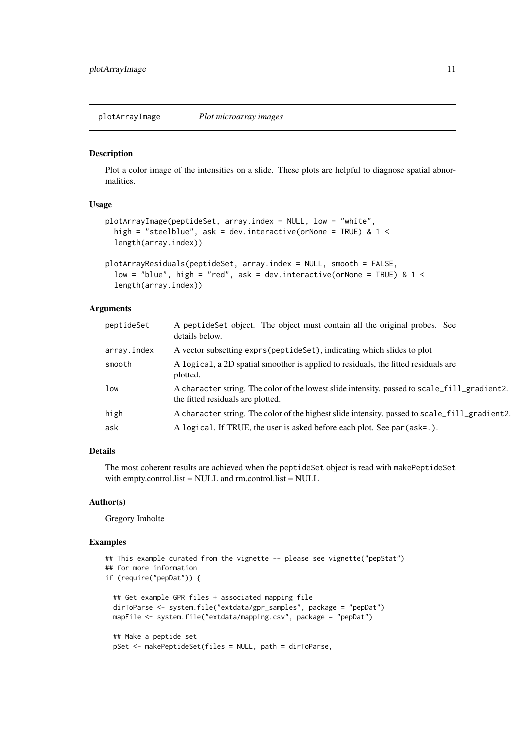<span id="page-10-0"></span>plotArrayImage *Plot microarray images*

#### Description

Plot a color image of the intensities on a slide. These plots are helpful to diagnose spatial abnormalities.

#### Usage

```
plotArrayImage(peptideSet, array.index = NULL, low = "white",
 high = "steelblue", ask = dev.interactive(orNone = TRUE) & 1 <
 length(array.index))
```

```
plotArrayResiduals(peptideSet, array.index = NULL, smooth = FALSE,
  low = "blue", high = "red", ask = dev.interactive(orNone = TRUE) & 1 <length(array.index))
```
#### Arguments

| peptideSet  | A peptide Set object. The object must contain all the original probes. See<br>details below.                                      |
|-------------|-----------------------------------------------------------------------------------------------------------------------------------|
| array.index | A vector subsetting exprs (peptideSet), indicating which slides to plot                                                           |
| smooth      | A logical, a 2D spatial smoother is applied to residuals, the fitted residuals are<br>plotted.                                    |
| low         | A character string. The color of the lowest slide intensity. passed to scale_fill_gradient2.<br>the fitted residuals are plotted. |
| high        | A character string. The color of the highest slide intensity. passed to scale_fill_gradient2.                                     |
| ask         | A logical. If TRUE, the user is asked before each plot. See par (ask=.).                                                          |
|             |                                                                                                                                   |

#### Details

The most coherent results are achieved when the peptideSet object is read with makePeptideSet with empty.control.list = NULL and rm.control.list = NULL

#### Author(s)

Gregory Imholte

```
## This example curated from the vignette -- please see vignette("pepStat")
## for more information
if (require("pepDat")) {
  ## Get example GPR files + associated mapping file
  dirToParse <- system.file("extdata/gpr_samples", package = "pepDat")
  mapFile <- system.file("extdata/mapping.csv", package = "pepDat")
  ## Make a peptide set
  pSet <- makePeptideSet(files = NULL, path = dirToParse,
```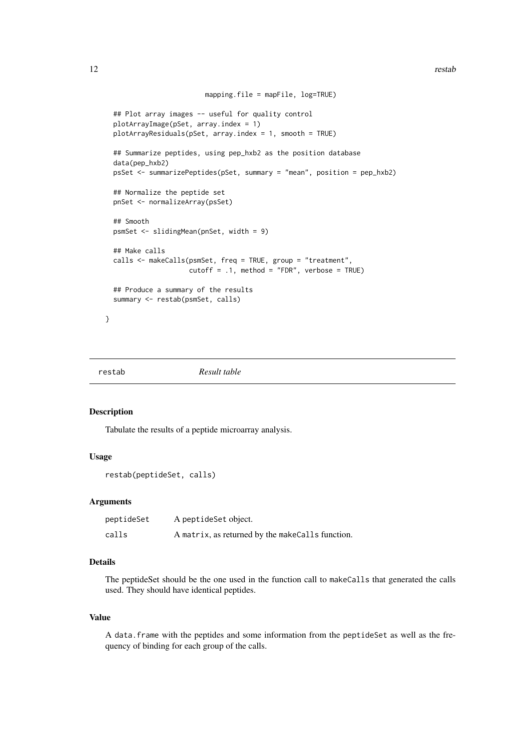```
mapping.file = mapFile, log=TRUE)
## Plot array images -- useful for quality control
plotArrayImage(pSet, array.index = 1)
plotArrayResiduals(pSet, array.index = 1, smooth = TRUE)
## Summarize peptides, using pep_hxb2 as the position database
data(pep_hxb2)
psSet <- summarizePeptides(pSet, summary = "mean", position = pep_hxb2)
## Normalize the peptide set
pnSet <- normalizeArray(psSet)
## Smooth
psmSet <- slidingMean(pnSet, width = 9)
## Make calls
calls <- makeCalls(psmSet, freq = TRUE, group = "treatment",
                   cutoff = .1, method = "FDR", verbose = TRUE)
## Produce a summary of the results
summary <- restab(psmSet, calls)
```
restab *Result table*

#### Description

}

Tabulate the results of a peptide microarray analysis.

#### Usage

```
restab(peptideSet, calls)
```
#### Arguments

```
peptideSet A peptideSet object.
calls A matrix, as returned by the makeCalls function.
```
#### Details

The peptideSet should be the one used in the function call to makeCalls that generated the calls used. They should have identical peptides.

#### Value

A data.frame with the peptides and some information from the peptideSet as well as the frequency of binding for each group of the calls.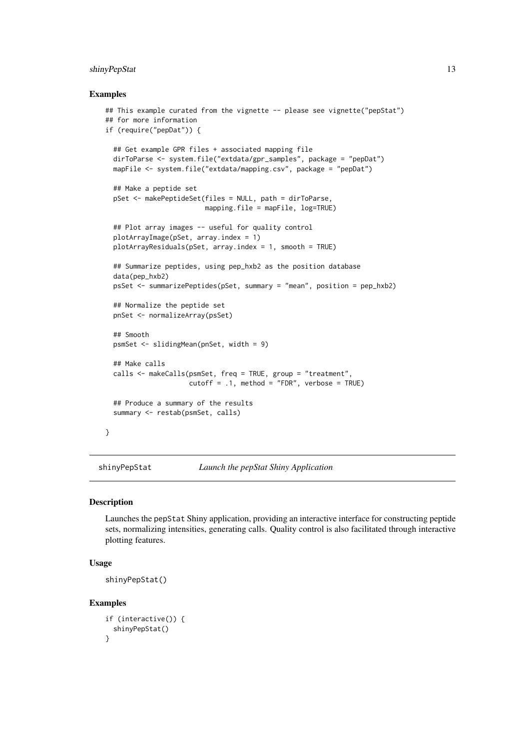#### <span id="page-12-0"></span>shinyPepStat 13

#### Examples

```
## This example curated from the vignette -- please see vignette("pepStat")
## for more information
if (require("pepDat")) {
  ## Get example GPR files + associated mapping file
  dirToParse <- system.file("extdata/gpr_samples", package = "pepDat")
  mapFile <- system.file("extdata/mapping.csv", package = "pepDat")
  ## Make a peptide set
  pSet <- makePeptideSet(files = NULL, path = dirToParse,
                         mapping.file = mapFile, log=TRUE)
  ## Plot array images -- useful for quality control
  plotArrayImage(pSet, array.index = 1)
  plotArrayResiduals(pSet, array.index = 1, smooth = TRUE)
  ## Summarize peptides, using pep_hxb2 as the position database
  data(pep_hxb2)
  psSet <- summarizePeptides(pSet, summary = "mean", position = pep_hxb2)
  ## Normalize the peptide set
  pnSet <- normalizeArray(psSet)
  ## Smooth
  psmSet <- slidingMean(pnSet, width = 9)
  ## Make calls
  calls <- makeCalls(psmSet, freq = TRUE, group = "treatment",
                     cutoff = .1, method = "FDR", verbose = TRUE)
  ## Produce a summary of the results
  summary <- restab(psmSet, calls)
}
```
shinyPepStat *Launch the pepStat Shiny Application*

#### Description

Launches the pepStat Shiny application, providing an interactive interface for constructing peptide sets, normalizing intensities, generating calls. Quality control is also facilitated through interactive plotting features.

#### Usage

```
shinyPepStat()
```

```
if (interactive()) {
  shinyPepStat()
}
```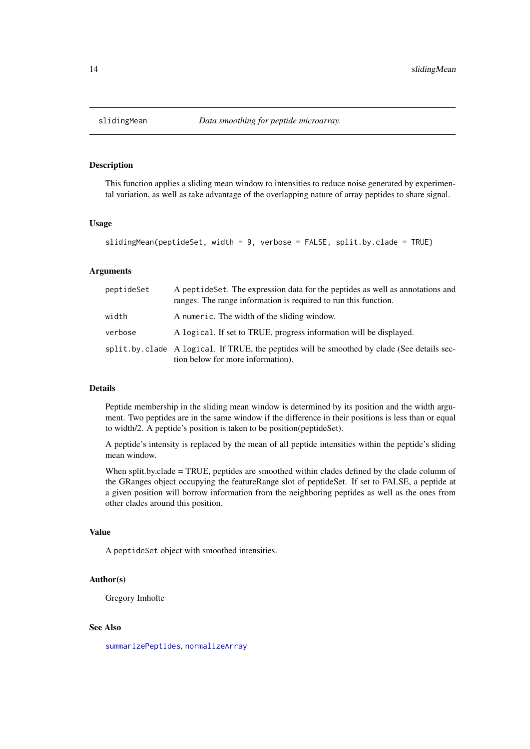#### Description

This function applies a sliding mean window to intensities to reduce noise generated by experimental variation, as well as take advantage of the overlapping nature of array peptides to share signal.

#### Usage

```
slidingMean(peptideSet, width = 9, verbose = FALSE, split.by.clade = TRUE)
```
#### Arguments

| peptideSet | A peptide Set. The expression data for the peptides as well as annotations and<br>ranges. The range information is required to run this function. |
|------------|---------------------------------------------------------------------------------------------------------------------------------------------------|
| width      | A numeric. The width of the sliding window.                                                                                                       |
| verbose    | A logical. If set to TRUE, progress information will be displayed.                                                                                |
|            | split by clade A logical. If TRUE, the peptides will be smoothed by clade (See details sec-<br>tion below for more information).                  |

#### Details

Peptide membership in the sliding mean window is determined by its position and the width argument. Two peptides are in the same window if the difference in their positions is less than or equal to width/2. A peptide's position is taken to be position(peptideSet).

A peptide's intensity is replaced by the mean of all peptide intensities within the peptide's sliding mean window.

When split.by.clade = TRUE, peptides are smoothed within clades defined by the clade column of the GRanges object occupying the featureRange slot of peptideSet. If set to FALSE, a peptide at a given position will borrow information from the neighboring peptides as well as the ones from other clades around this position.

#### Value

A peptideSet object with smoothed intensities.

#### Author(s)

Gregory Imholte

#### See Also

[summarizePeptides](#page-14-1), [normalizeArray](#page-6-1)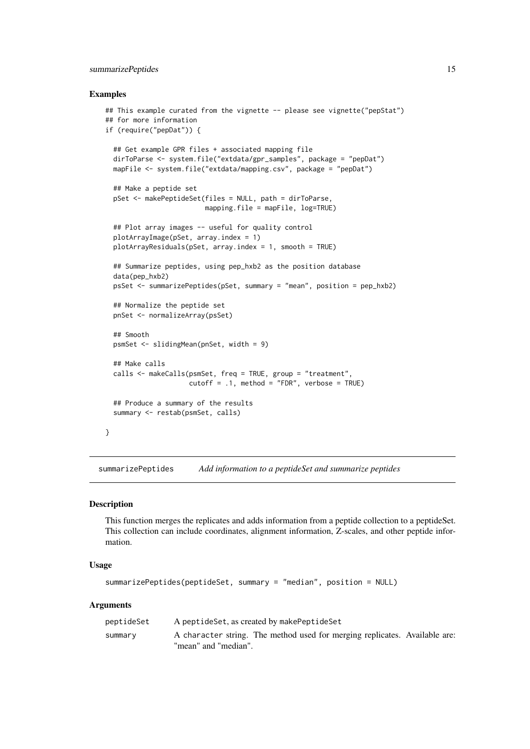#### <span id="page-14-0"></span>summarizePeptides 15

#### Examples

```
## This example curated from the vignette -- please see vignette("pepStat")
## for more information
if (require("pepDat")) {
  ## Get example GPR files + associated mapping file
  dirToParse <- system.file("extdata/gpr_samples", package = "pepDat")
  mapFile <- system.file("extdata/mapping.csv", package = "pepDat")
  ## Make a peptide set
  pSet <- makePeptideSet(files = NULL, path = dirToParse,
                         mapping.file = mapFile, log=TRUE)
  ## Plot array images -- useful for quality control
  plotArrayImage(pSet, array.index = 1)
  plotArrayResiduals(pSet, array.index = 1, smooth = TRUE)
  ## Summarize peptides, using pep_hxb2 as the position database
  data(pep_hxb2)
  psSet <- summarizePeptides(pSet, summary = "mean", position = pep_hxb2)
  ## Normalize the peptide set
  pnSet <- normalizeArray(psSet)
  ## Smooth
  psmSet <- slidingMean(pnSet, width = 9)
  ## Make calls
  calls <- makeCalls(psmSet, freq = TRUE, group = "treatment",
                     cutoff = .1, method = "FDR", verbose = TRUE)
  ## Produce a summary of the results
  summary <- restab(psmSet, calls)
}
```
<span id="page-14-1"></span>summarizePeptides *Add information to a peptideSet and summarize peptides*

#### Description

This function merges the replicates and adds information from a peptide collection to a peptideSet. This collection can include coordinates, alignment information, Z-scales, and other peptide information.

#### Usage

```
summarizePeptides(peptideSet, summary = "median", position = NULL)
```
#### Arguments

| peptideSet | A peptideSet, as created by makePeptideSet                                 |
|------------|----------------------------------------------------------------------------|
| summary    | A character string. The method used for merging replicates. Available are: |
|            | "mean" and "median".                                                       |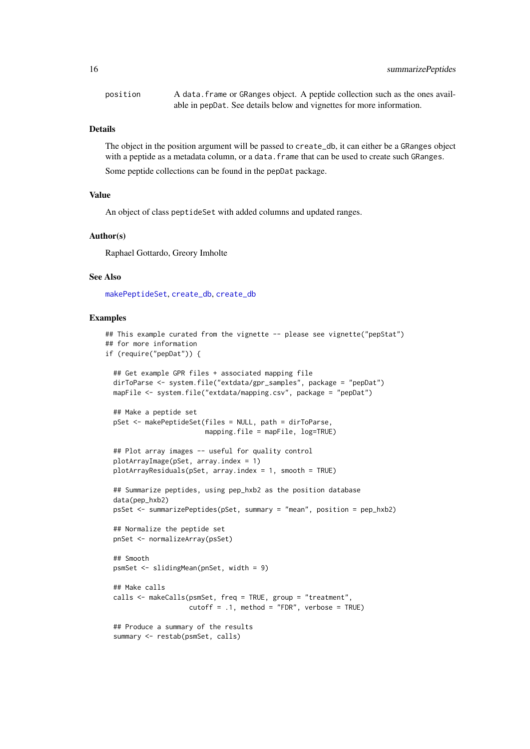<span id="page-15-0"></span>position A data.frame or GRanges object. A peptide collection such as the ones available in pepDat. See details below and vignettes for more information.

#### Details

The object in the position argument will be passed to create\_db, it can either be a GRanges object with a peptide as a metadata column, or a data. frame that can be used to create such GRanges.

Some peptide collections can be found in the pepDat package.

#### Value

An object of class peptideSet with added columns and updated ranges.

#### Author(s)

Raphael Gottardo, Greory Imholte

#### See Also

[makePeptideSet](#page-5-1), [create\\_db](#page-2-1), [create\\_db](#page-2-1)

```
## This example curated from the vignette -- please see vignette("pepStat")
## for more information
if (require("pepDat")) {
  ## Get example GPR files + associated mapping file
  dirToParse <- system.file("extdata/gpr_samples", package = "pepDat")
  mapFile <- system.file("extdata/mapping.csv", package = "pepDat")
  ## Make a peptide set
  pSet <- makePeptideSet(files = NULL, path = dirToParse,
                         mapping.file = mapFile, log=TRUE)
  ## Plot array images -- useful for quality control
  plotArrayImage(pSet, array.index = 1)
  plotArrayResiduals(pSet, array.index = 1, smooth = TRUE)
  ## Summarize peptides, using pep_hxb2 as the position database
  data(pep_hxb2)
  psSet <- summarizePeptides(pSet, summary = "mean", position = pep_hxb2)
  ## Normalize the peptide set
  pnSet <- normalizeArray(psSet)
  ## Smooth
  psmSet <- slidingMean(pnSet, width = 9)
  ## Make calls
  calls <- makeCalls(psmSet, freq = TRUE, group = "treatment",
                     cutoff = .1, method = "FDR", verbose = TRUE)
  ## Produce a summary of the results
  summary <- restab(psmSet, calls)
```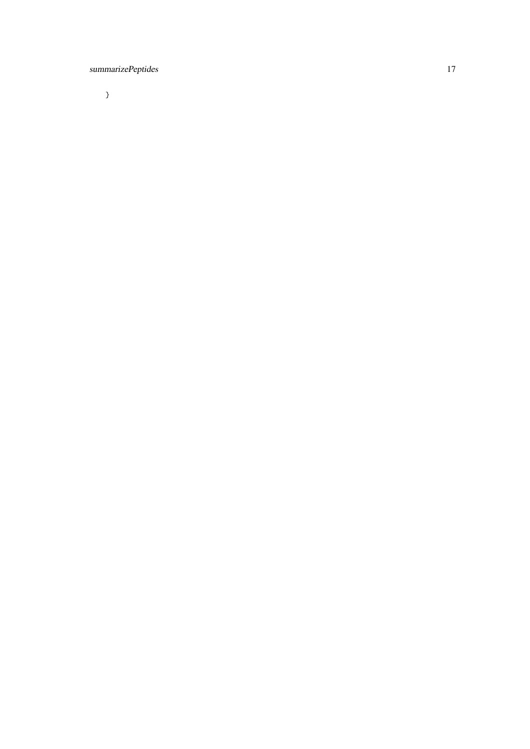## summarizePeptides 17

}